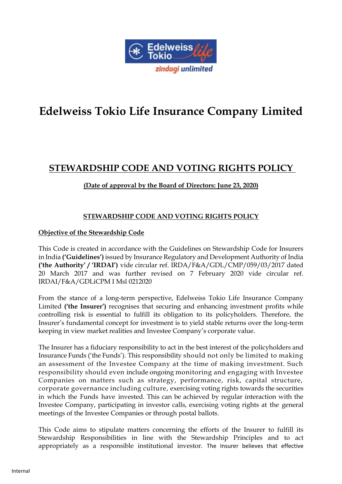

# **Edelweiss Tokio Life Insurance Company Limited**

# **STEWARDSHIP CODE AND VOTING RIGHTS POLICY**

# **(Date of approval by the Board of Directors: June 23, 2020)**

# **STEWARDSHIP CODE AND VOTING RIGHTS POLICY**

# **Objective of the Stewardship Code**

This Code is created in accordance with the Guidelines on Stewardship Code for Insurers in India **('Guidelines')** issued by Insurance Regulatory and Development Authority of India **('the Authority' / 'IRDAI')** vide circular ref. IRDA/F&A/GDL/CMP/059/03/2017 dated 20 March 2017 and was further revised on 7 February 2020 vide circular ref. IRDAI/F&A/GDLiCPM I Msl 0212020

From the stance of a long-term perspective, Edelweiss Tokio Life Insurance Company Limited **('the Insurer')** recognises that securing and enhancing investment profits while controlling risk is essential to fulfill its obligation to its policyholders. Therefore, the Insurer's fundamental concept for investment is to yield stable returns over the long-term keeping in view market realities and Investee Company's corporate value.

The Insurer has a fiduciary responsibility to act in the best interest of the policyholders and Insurance Funds ('the Funds'). This responsibility should not only be limited to making an assessment of the Investee Company at the time of making investment. Such responsibility should even include ongoing monitoring and engaging with Investee Companies on matters such as strategy, performance, risk, capital structure, corporate governance including culture, exercising voting rights towards the securities in which the Funds have invested. This can be achieved by regular interaction with the Investee Company, participating in investor calls, exercising voting rights at the general meetings of the Investee Companies or through postal ballots.

This Code aims to stipulate matters concerning the efforts of the Insurer to fulfill its Stewardship Responsibilities in line with the Stewardship Principles and to act appropriately as a responsible institutional investor. The Insurer believes that effective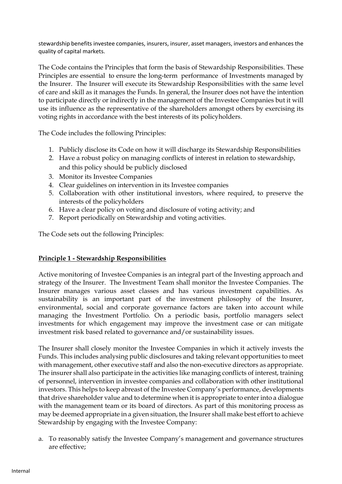stewardship benefits investee companies, insurers, insurer, asset managers, investors and enhances the quality of capital markets.

The Code contains the Principles that form the basis of Stewardship Responsibilities. These Principles are essential to ensure the long-term performance of Investments managed by the Insurer. The Insurer will execute its Stewardship Responsibilities with the same level of care and skill as it manages the Funds. In general, the Insurer does not have the intention to participate directly or indirectly in the management of the Investee Companies but it will use its influence as the representative of the shareholders amongst others by exercising its voting rights in accordance with the best interests of its policyholders.

The Code includes the following Principles:

- 1. Publicly disclose its Code on how it will discharge its Stewardship Responsibilities
- 2. Have a robust policy on managing conflicts of interest in relation to stewardship, and this policy should be publicly disclosed
- 3. Monitor its Investee Companies
- 4. Clear guidelines on intervention in its Investee companies
- 5. Collaboration with other institutional investors, where required, to preserve the interests of the policyholders
- 6. Have a clear policy on voting and disclosure of voting activity; and
- 7. Report periodically on Stewardship and voting activities.

The Code sets out the following Principles:

## **Principle 1 - Stewardship Responsibilities**

Active monitoring of Investee Companies is an integral part of the Investing approach and strategy of the Insurer. The Investment Team shall monitor the Investee Companies. The Insurer manages various asset classes and has various investment capabilities. As sustainability is an important part of the investment philosophy of the Insurer, environmental, social and corporate governance factors are taken into account while managing the Investment Portfolio. On a periodic basis, portfolio managers select investments for which engagement may improve the investment case or can mitigate investment risk based related to governance and/or sustainability issues.

The Insurer shall closely monitor the Investee Companies in which it actively invests the Funds. This includes analysing public disclosures and taking relevant opportunities to meet with management, other executive staff and also the non-executive directors as appropriate. The insurer shall also participate in the activities like managing conflicts of interest, training of personnel, intervention in investee companies and collaboration with other institutional investors. This helps to keep abreast of the Investee Company's performance, developments that drive shareholder value and to determine when it is appropriate to enter into a dialogue with the management team or its board of directors. As part of this monitoring process as may be deemed appropriate in a given situation, the Insurer shall make best effort to achieve Stewardship by engaging with the Investee Company:

a. To reasonably satisfy the Investee Company's management and governance structures are effective;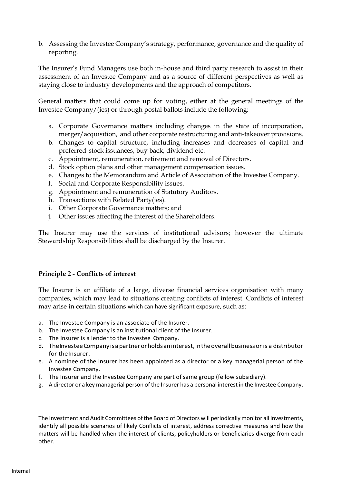b. Assessing the Investee Company's strategy, performance, governance and the quality of reporting.

The Insurer's Fund Managers use both in-house and third party research to assist in their assessment of an Investee Company and as a source of different perspectives as well as staying close to industry developments and the approach of competitors.

General matters that could come up for voting, either at the general meetings of the Investee Company/(ies) or through postal ballots include the following:

- a. Corporate Governance matters including changes in the state of incorporation, merger/acquisition, and other corporate restructuring and anti-takeover provisions.
- b. Changes to capital structure, including increases and decreases of capital and preferred stock issuances, buy back, dividend etc.
- c. Appointment, remuneration, retirement and removal of Directors.
- d. Stock option plans and other management compensation issues.
- e. Changes to the Memorandum and Article of Association of the Investee Company.
- f. Social and Corporate Responsibility issues.
- g. Appointment and remuneration of Statutory Auditors.
- h. Transactions with Related Party(ies).
- i. Other Corporate Governance matters; and
- j. Other issues affecting the interest of the Shareholders.

The Insurer may use the services of institutional advisors; however the ultimate Stewardship Responsibilities shall be discharged by the Insurer.

## **Principle 2 - Conflicts of interest**

The Insurer is an affiliate of a large, diverse financial services organisation with many companies, which may lead to situations creating conflicts of interest. Conflicts of interest may arise in certain situations which can have significant exposure, such as:

- a. The Investee Company is an associate of the Insurer.
- b. The Investee Company is an institutional client of the Insurer.
- c. The Insurer is a lender to the Investee Company.
- d. The Investee Company is a partner or holds an interest, in the overall business or is a distributor for theInsurer.
- e. A nominee of the Insurer has been appointed as a director or a key managerial person of the Investee Company.
- f. The Insurer and the Investee Company are part of same group (fellow subsidiary).
- g. A director or a key managerial person of the Insurer has a personal interest in the Investee Company.

The Investment and Audit Committees of the Board of Directors will periodically monitor all investments, identify all possible scenarios of likely Conflicts of interest, address corrective measures and how the matters will be handled when the interest of clients, policyholders or beneficiaries diverge from each other.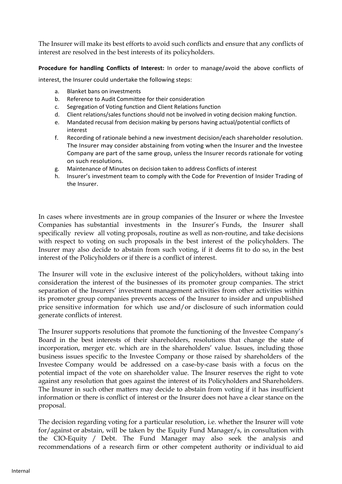The Insurer will make its best efforts to avoid such conflicts and ensure that any conflicts of interest are resolved in the best interests of its policyholders.

**Procedure for handling Conflicts of Interest:** In order to manage/avoid the above conflicts of

interest, the Insurer could undertake the following steps:

- a. Blanket bans on investments
- b. Reference to Audit Committee for their consideration
- c. Segregation of Voting function and Client Relations function
- d. Client relations/sales functions should not be involved in voting decision making function.
- e. Mandated recusal from decision making by persons having actual/potential conflicts of interest
- f. Recording of rationale behind a new investment decision/each shareholder resolution. The Insurer may consider abstaining from voting when the Insurer and the Investee Company are part of the same group, unless the Insurer records rationale for voting on such resolutions.
- g. Maintenance of Minutes on decision taken to address Conflicts of interest
- h. Insurer's investment team to comply with the Code for Prevention of Insider Trading of the Insurer.

In cases where investments are in group companies of the Insurer or where the Investee Companies has substantial investments in the Insurer's Funds, the Insurer shall specifically review all voting proposals, routine as well as non-routine, and take decisions with respect to voting on such proposals in the best interest of the policyholders. The Insurer may also decide to abstain from such voting, if it deems fit to do so, in the best interest of the Policyholders or if there is a conflict of interest.

The Insurer will vote in the exclusive interest of the policyholders, without taking into consideration the interest of the businesses of its promoter group companies. The strict separation of the Insurers' investment management activities from other activities within its promoter group companies prevents access of the Insurer to insider and unpublished price sensitive information for which use and/or disclosure of such information could generate conflicts of interest.

The Insurer supports resolutions that promote the functioning of the Investee Company's Board in the best interests of their shareholders, resolutions that change the state of incorporation, merger etc. which are in the shareholders' value. Issues, including those business issues specific to the Investee Company or those raised by shareholders of the Investee Company would be addressed on a case-by-case basis with a focus on the potential impact of the vote on shareholder value. The Insurer reserves the right to vote against any resolution that goes against the interest of its Policyholders and Shareholders. The Insurer in such other matters may decide to abstain from voting if it has insufficient information or there is conflict of interest or the Insurer does not have a clear stance on the proposal.

The decision regarding voting for a particular resolution, i.e. whether the Insurer will vote for/against or abstain, will be taken by the Equity Fund Manager/s, in consultation with the CIO-Equity / Debt. The Fund Manager may also seek the analysis and recommendations of a research firm or other competent authority or individual to aid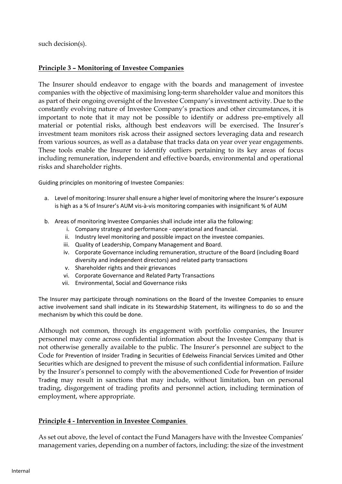such decision(s).

#### **Principle 3 – Monitoring of Investee Companies**

The Insurer should endeavor to engage with the boards and management of investee companies with the objective of maximising long-term shareholder value and monitors this as part of their ongoing oversight of the Investee Company's investment activity. Due to the constantly evolving nature of Investee Company's practices and other circumstances, it is important to note that it may not be possible to identify or address pre-emptively all material or potential risks, although best endeavors will be exercised. The Insurer's investment team monitors risk across their assigned sectors leveraging data and research from various sources, as well as a database that tracks data on year over year engagements. These tools enable the Insurer to identify outliers pertaining to its key areas of focus including remuneration, independent and effective boards, environmental and operational risks and shareholder rights.

Guiding principles on monitoring of Investee Companies:

- a. Level of monitoring: Insurer shall ensure a higher level of monitoring where the Insurer's exposure is high as a % of Insurer's AUM vis-à-vis monitoring companies with insignificant % of AUM
- b. Areas of monitoring Investee Companies shall include inter alia the following:
	- i. Company strategy and performance operational and financial.
	- ii. Industry level monitoring and possible impact on the investee companies.
	- iii. Quality of Leadership, Company Management and Board.
	- iv. Corporate Governance including remuneration, structure of the Board (including Board diversity and independent directors) and related party transactions
	- v. Shareholder rights and their grievances
	- vi. Corporate Governance and Related Party Transactions
	- vii. Environmental, Social and Governance risks

The Insurer may participate through nominations on the Board of the Investee Companies to ensure active involvement sand shall indicate in its Stewardship Statement, its willingness to do so and the mechanism by which this could be done.

Although not common, through its engagement with portfolio companies, the Insurer personnel may come across confidential information about the Investee Company that is not otherwise generally available to the public. The Insurer's personnel are subject to the Code for Prevention of Insider Trading in Securities of Edelweiss Financial Services Limited and Other Securities which are designed to prevent the misuse of such confidential information. Failure by the Insurer's personnel to comply with the abovementioned Code for Prevention of Insider Trading may result in sanctions that may include, without limitation, ban on personal trading, disgorgement of trading profits and personnel action, including termination of employment, where appropriate.

## **Principle 4 - Intervention in Investee Companies**

As set out above, the level of contact the Fund Managers have with the Investee Companies' management varies, depending on a number of factors, including: the size of the investment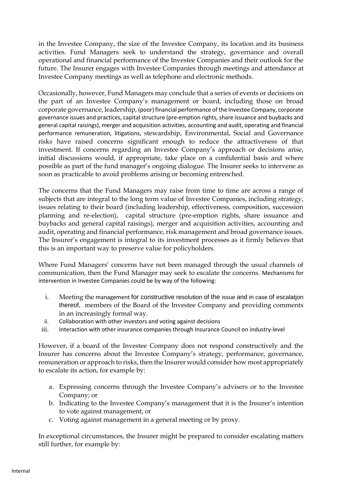in the Investee Company, the size of the Investee Company, its location and its business activities. Fund Managers seek to understand the strategy, governance and overall operational and financial performance of the Investee Companies and their outlook for the future. The Insurer engages with Investee Companies through meetings and attendance at Investee Company meetings as well as telephone and electronic methods.

Occasionally, however, Fund Managers may conclude that a series of events or decisions on the part of an Investee Company's management or board, including those on broad corporate governance, leadership, (poor) financial performance of the Investee Company, corporate governance issues and practices, capital structure (pre-emption rights, share issuance and buybacks and general capital raisings), merger and acquisition activities, accounting and audit, operating and financial performance remuneration, litigations, stewardship, Environmental, Social and Governance risks have raised concerns significant enough to reduce the attractiveness of that investment. If concerns regarding an Investee Company's approach or decisions arise, initial discussions would, if appropriate, take place on a confidential basis and where possible as part of the fund manager's ongoing dialogue. The Insurer seeks to intervene as soon as practicable to avoid problems arising or becoming entrenched.

The concerns that the Fund Managers may raise from time to time are across a range of subjects that are integral to the long term value of Investee Companies, including strategy, issues relating to their board (including leadership, effectiveness, composition, succession planning and re-election), capital structure (pre-emption rights, share issuance and buybacks and general capital raisings), merger and acquisition activities, accounting and audit, operating and financial performance, risk management and broad governance issues. The Insurer's engagement is integral to its investment processes as it firmly believes that this is an important way to preserve value for policyholders.

Where Fund Managers' concerns have not been managed through the usual channels of communication, then the Fund Manager may seek to escalate the concerns. Mechanisms for intervention in Investee Companies could be by way of the following:

- i. Meeting the management for constructive resolution of the issue and in case of escalatjon thereof, members of the Board of the Investee Company and providing comments in an increasingly formal way.
- ii. Collaboration with other investors and voting against decisions
- iii. Interaction with other insurance companies through Insurance Council on industry-level

However, if a board of the Investee Company does not respond constructively and the Insurer has concerns about the Investee Company's strategy, performance, governance, remuneration or approach to risks, then the Insurer would consider how most appropriately to escalate its action, for example by:

- a. Expressing concerns through the Investee Company's advisers or to the Investee Company; or
- b. Indicating to the Investee Company's management that it is the Insurer's intention to vote against management; or
- c. Voting against management in a general meeting or by proxy.

In exceptional circumstances, the Insurer might be prepared to consider escalating matters still further, for example by: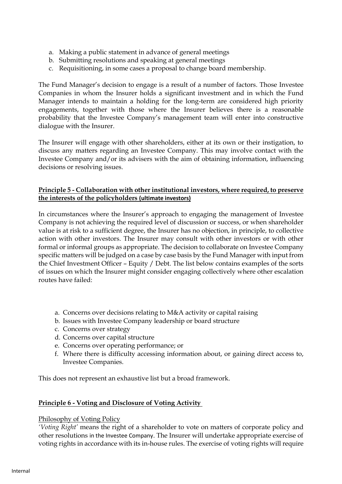- a. Making a public statement in advance of general meetings
- b. Submitting resolutions and speaking at general meetings
- c. Requisitioning, in some cases a proposal to change board membership.

The Fund Manager's decision to engage is a result of a number of factors. Those Investee Companies in whom the Insurer holds a significant investment and in which the Fund Manager intends to maintain a holding for the long-term are considered high priority engagements, together with those where the Insurer believes there is a reasonable probability that the Investee Company's management team will enter into constructive dialogue with the Insurer.

The Insurer will engage with other shareholders, either at its own or their instigation, to discuss any matters regarding an Investee Company. This may involve contact with the Investee Company and/or its advisers with the aim of obtaining information, influencing decisions or resolving issues.

## **Principle 5 - Collaboration with other institutional investors, where required, to preserve the interests of the policyholders (ultimate investors)**

In circumstances where the Insurer's approach to engaging the management of Investee Company is not achieving the required level of discussion or success, or when shareholder value is at risk to a sufficient degree, the Insurer has no objection, in principle, to collective action with other investors. The Insurer may consult with other investors or with other formal or informal groups as appropriate. The decision to collaborate on Investee Company specific matters will be judged on a case by case basis by the Fund Manager with input from the Chief Investment Officer – Equity / Debt. The list below contains examples of the sorts of issues on which the Insurer might consider engaging collectively where other escalation routes have failed:

- a. Concerns over decisions relating to M&A activity or capital raising
- b. Issues with Investee Company leadership or board structure
- c. Concerns over strategy
- d. Concerns over capital structure
- e. Concerns over operating performance; or
- f. Where there is difficulty accessing information about, or gaining direct access to, Investee Companies.

This does not represent an exhaustive list but a broad framework.

## **Principle 6 - Voting and Disclosure of Voting Activity**

#### Philosophy of Voting Policy

*'Voting Right'* means the right of a shareholder to vote on matters of corporate policy and other resolutions in the Investee Company. The Insurer will undertake appropriate exercise of voting rights in accordance with its in-house rules. The exercise of voting rights will require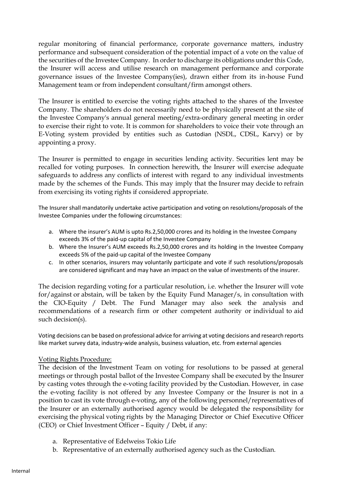regular monitoring of financial performance, corporate governance matters, industry performance and subsequent consideration of the potential impact of a vote on the value of the securities of the Investee Company. In order to discharge its obligations under this Code, the Insurer will access and utilise research on management performance and corporate governance issues of the Investee Company(ies), drawn either from its in-house Fund Management team or from independent consultant/firm amongst others.

The Insurer is entitled to exercise the voting rights attached to the shares of the Investee Company. The shareholders do not necessarily need to be physically present at the site of the Investee Company's annual general meeting/extra-ordinary general meeting in order to exercise their right to vote. It is common for shareholders to voice their vote through an E-Voting system provided by entities such as Custodian (NSDL, CDSL, Karvy) or by appointing a proxy.

The Insurer is permitted to engage in securities lending activity. Securities lent may be recalled for voting purposes. In connection herewith, the Insurer will exercise adequate safeguards to address any conflicts of interest with regard to any individual investments made by the schemes of the Funds. This may imply that the Insurer may decide to refrain from exercising its voting rights if considered appropriate.

The Insurer shall mandatorily undertake active participation and voting on resolutions/proposals of the Investee Companies under the following circumstances:

- a. Where the insurer's AUM is upto Rs.2,50,000 crores and its holding in the Investee Company exceeds 3% of the paid-up capital of the Investee Company
- b. Where the Insurer's AUM exceeds Rs.2,50,000 crores and its holding in the Investee Company exceeds 5% of the paid-up capital of the Investee Company
- c. In other scenarios, insurers may voluntarily participate and vote if such resolutions/proposals are considered significant and may have an impact on the value of investments of the insurer.

The decision regarding voting for a particular resolution, i.e. whether the Insurer will vote for/against or abstain, will be taken by the Equity Fund Manager/s, in consultation with the CIO-Equity / Debt. The Fund Manager may also seek the analysis and recommendations of a research firm or other competent authority or individual to aid such decision(s).

Voting decisions can be based on professional advice for arriving at voting decisions and research reports like market survey data, industry-wide analysis, business valuation, etc. from external agencies

## Voting Rights Procedure:

The decision of the Investment Team on voting for resolutions to be passed at general meetings or through postal ballot of the Investee Company shall be executed by the Insurer by casting votes through the e-voting facility provided by the Custodian. However, in case the e-voting facility is not offered by any Investee Company or the Insurer is not in a position to cast its vote through e-voting, any of the following personnel/representatives of the Insurer or an externally authorised agency would be delegated the responsibility for exercising the physical voting rights by the Managing Director or Chief Executive Officer (CEO) or Chief Investment Officer – Equity / Debt, if any:

- a. Representative of Edelweiss Tokio Life
- b. Representative of an externally authorised agency such as the Custodian.